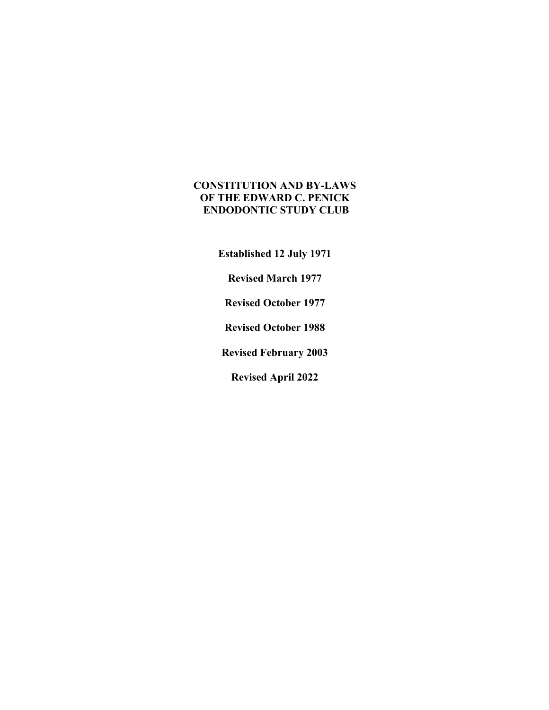# **CONSTITUTION AND BY-LAWS OF THE EDWARD C. PENICK ENDODONTIC STUDY CLUB**

**Established 12 July 1971**

**Revised March 1977**

**Revised October 1977**

**Revised October 1988**

**Revised February 2003**

**Revised April 2022**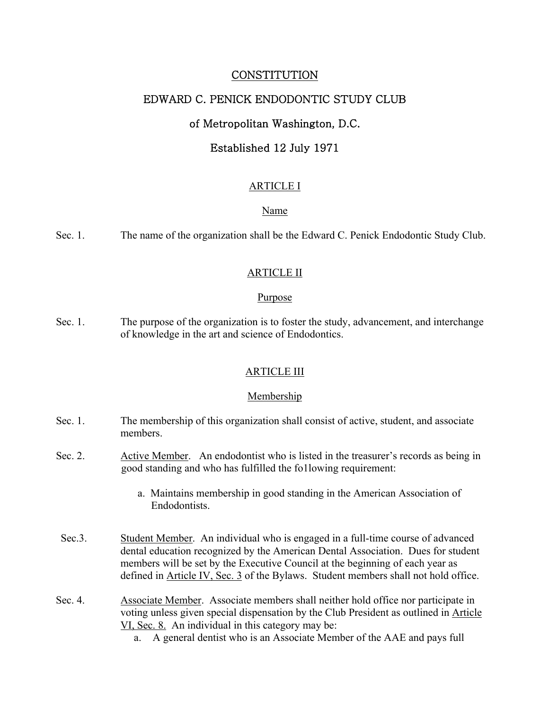# **CONSTITUTION**

# EDWARD C. PENICK ENDODONTIC STUDY CLUB

# of Metropolitan Washington, D.C.

# Established 12 July 1971

#### ARTICLE I

#### Name

Sec. 1. The name of the organization shall be the Edward C. Penick Endodontic Study Club.

#### ARTICLE II

#### Purpose

Sec. 1. The purpose of the organization is to foster the study, advancement, and interchange of knowledge in the art and science of Endodontics.

#### ARTICLE III

#### Membership

- Sec. 1. The membership of this organization shall consist of active, student, and associate members.
- Sec. 2. Active Member. An endodontist who is listed in the treasurer's records as being in good standing and who has fulfilled the fo1lowing requirement:
	- a. Maintains membership in good standing in the American Association of Endodontists.
- Sec.3. Student Member. An individual who is engaged in a full-time course of advanced dental education recognized by the American Dental Association. Dues for student members will be set by the Executive Council at the beginning of each year as defined in Article IV, Sec. 3 of the Bylaws. Student members shall not hold office.
- Sec. 4. Associate Member. Associate members shall neither hold office nor participate in voting unless given special dispensation by the Club President as outlined in Article VI, Sec. 8. An individual in this category may be:
	- a. A general dentist who is an Associate Member of the AAE and pays full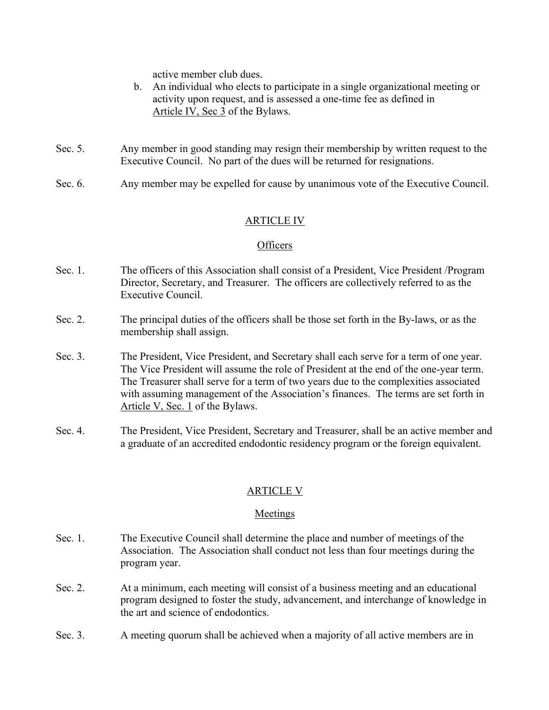active member club dues.

- b. An individual who elects to participate in a single organizational meeting or activity upon request, and is assessed a one-time fee as defined in Article IV, Sec 3 of the Bylaws.
- Sec. 5. Any member in good standing may resign their membership by written request to the Executive Council. No part of the dues will be returned for resignations.
- Sec. 6. Any member may be expelled for cause by unanimous vote of the Executive Council.

# ARTICLE IV

#### **Officers**

- Sec. 1. The officers of this Association shall consist of a President, Vice President /Program Director, Secretary, and Treasurer. The officers are collectively referred to as the Executive Council.
- Sec. 2. The principal duties of the officers shall be those set forth in the By-laws, or as the membership shall assign.
- Sec. 3. The President, Vice President, and Secretary shall each serve for a term of one year. The Vice President will assume the role of President at the end of the one-year term. The Treasurer shall serve for a term of two years due to the complexities associated with assuming management of the Association's finances. The terms are set forth in Article V, Sec. 1 of the Bylaws.
- Sec. 4. The President, Vice President, Secretary and Treasurer, shall be an active member and a graduate of an accredited endodontic residency program or the foreign equivalent.

# ARTICLE V

#### Meetings

- Sec. 1. The Executive Council shall determine the place and number of meetings of the Association. The Association shall conduct not less than four meetings during the program year.
- Sec. 2. At a minimum, each meeting will consist of a business meeting and an educational program designed to foster the study, advancement, and interchange of knowledge in the art and science of endodontics.
- Sec. 3. A meeting quorum shall be achieved when a majority of all active members are in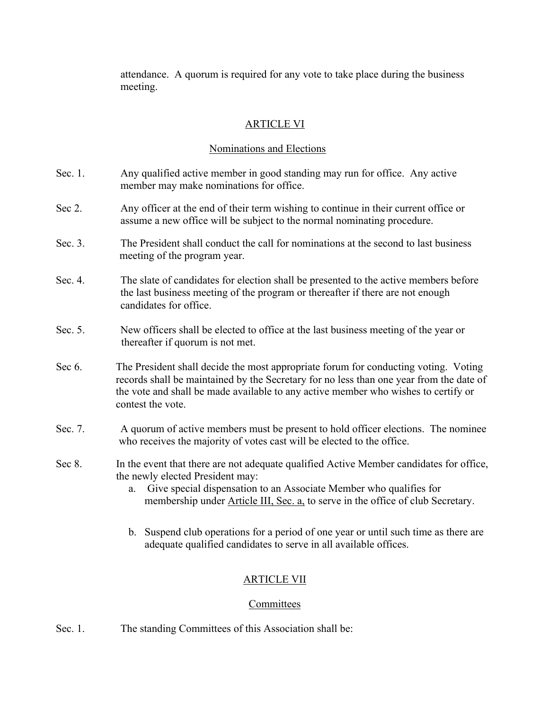attendance. A quorum is required for any vote to take place during the business meeting.

# ARTICLE VI

# Nominations and Elections

- Sec. 1. Any qualified active member in good standing may run for office. Any active member may make nominations for office.
- Sec 2. Any officer at the end of their term wishing to continue in their current office or assume a new office will be subject to the normal nominating procedure.
- Sec. 3. The President shall conduct the call for nominations at the second to last business meeting of the program year.
- Sec. 4. The slate of candidates for election shall be presented to the active members before the last business meeting of the program or thereafter if there are not enough candidates for office.
- Sec. 5. New officers shall be elected to office at the last business meeting of the year or thereafter if quorum is not met.
- Sec 6. The President shall decide the most appropriate forum for conducting voting. Voting records shall be maintained by the Secretary for no less than one year from the date of the vote and shall be made available to any active member who wishes to certify or contest the vote.
- Sec. 7. A quorum of active members must be present to hold officer elections. The nominee who receives the majority of votes cast will be elected to the office.
- Sec 8. In the event that there are not adequate qualified Active Member candidates for office, the newly elected President may:
	- a. Give special dispensation to an Associate Member who qualifies for membership under Article III, Sec. a, to serve in the office of club Secretary.
	- b. Suspend club operations for a period of one year or until such time as there are adequate qualified candidates to serve in all available offices.

# ARTICLE VII

# **Committees**

Sec. 1. The standing Committees of this Association shall be: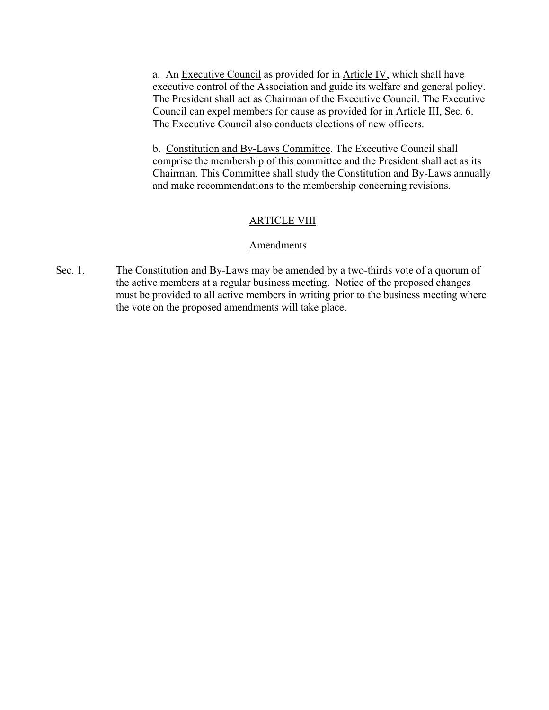a. An Executive Council as provided for in Article IV, which shall have executive control of the Association and guide its welfare and general policy. The President shall act as Chairman of the Executive Council. The Executive Council can expel members for cause as provided for in Article III, Sec. 6. The Executive Council also conducts elections of new officers.

b. Constitution and By-Laws Committee. The Executive Council shall comprise the membership of this committee and the President shall act as its Chairman. This Committee shall study the Constitution and By-Laws annually and make recommendations to the membership concerning revisions.

#### **ARTICLE VIII**

#### **Amendments**

Sec. 1. The Constitution and By-Laws may be amended by a two-thirds vote of a quorum of the active members at a regular business meeting. Notice of the proposed changes must be provided to all active members in writing prior to the business meeting where the vote on the proposed amendments will take place.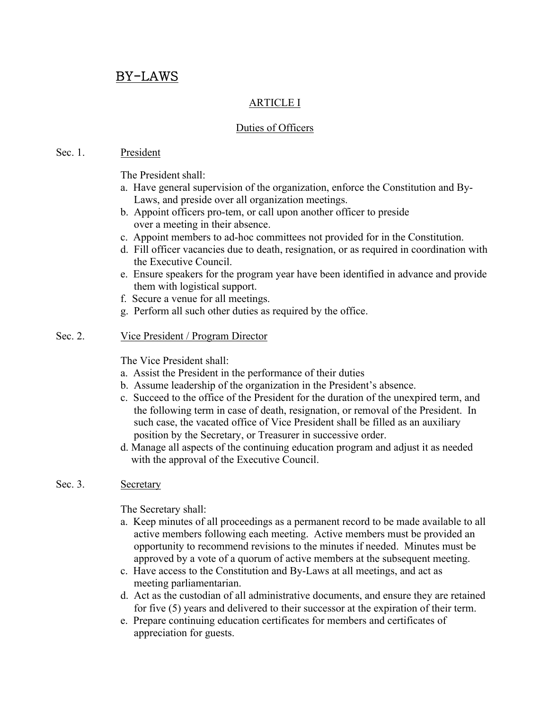# BY-LAWS

# ARTICLE I

# Duties of Officers

#### Sec. 1. President

The President shall:

- a. Have general supervision of the organization, enforce the Constitution and By- Laws, and preside over all organization meetings.
- b. Appoint officers pro-tem, or call upon another officer to preside over a meeting in their absence.
- c. Appoint members to ad-hoc committees not provided for in the Constitution.
- d. Fill officer vacancies due to death, resignation, or as required in coordination with the Executive Council.
- e. Ensure speakers for the program year have been identified in advance and provide them with logistical support.
- f. Secure a venue for all meetings.
- g. Perform all such other duties as required by the office.

# Sec. 2. Vice President / Program Director

The Vice President shall:

- a. Assist the President in the performance of their duties
- b. Assume leadership of the organization in the President's absence.
- c. Succeed to the office of the President for the duration of the unexpired term, and the following term in case of death, resignation, or removal of the President. In such case, the vacated office of Vice President shall be filled as an auxiliary position by the Secretary, or Treasurer in successive order.
- d. Manage all aspects of the continuing education program and adjust it as needed with the approval of the Executive Council.

# Sec. 3. Secretary

The Secretary shall:

- a. Keep minutes of all proceedings as a permanent record to be made available to all active members following each meeting. Active members must be provided an opportunity to recommend revisions to the minutes if needed. Minutes must be approved by a vote of a quorum of active members at the subsequent meeting.
- c. Have access to the Constitution and By-Laws at all meetings, and act as meeting parliamentarian.
- d. Act as the custodian of all administrative documents, and ensure they are retained for five (5) years and delivered to their successor at the expiration of their term.
- e. Prepare continuing education certificates for members and certificates of appreciation for guests.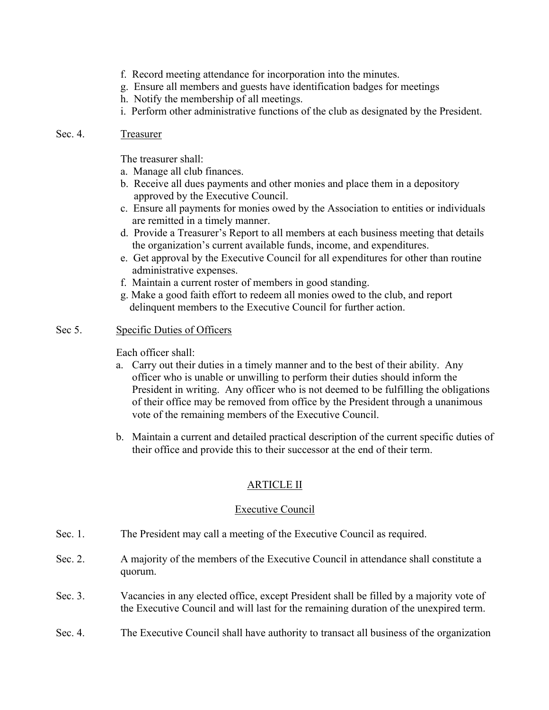- f. Record meeting attendance for incorporation into the minutes.
- g. Ensure all members and guests have identification badges for meetings
- h. Notify the membership of all meetings.
- i. Perform other administrative functions of the club as designated by the President.

# Sec. 4. Treasurer

The treasurer shall:

- a. Manage all club finances.
- b. Receive all dues payments and other monies and place them in a depository approved by the Executive Council.
- c. Ensure all payments for monies owed by the Association to entities or individuals are remitted in a timely manner.
- d. Provide a Treasurer's Report to all members at each business meeting that details the organization's current available funds, income, and expenditures.
- e. Get approval by the Executive Council for all expenditures for other than routine administrative expenses.
- f. Maintain a current roster of members in good standing.
- g. Make a good faith effort to redeem all monies owed to the club, and report delinquent members to the Executive Council for further action.

# Sec 5. Specific Duties of Officers

Each officer shall:

- a. Carry out their duties in a timely manner and to the best of their ability. Any officer who is unable or unwilling to perform their duties should inform the President in writing. Any officer who is not deemed to be fulfilling the obligations of their office may be removed from office by the President through a unanimous vote of the remaining members of the Executive Council.
- b. Maintain a current and detailed practical description of the current specific duties of their office and provide this to their successor at the end of their term.

# ARTICLE II

# Executive Council

- Sec. 1. The President may call a meeting of the Executive Council as required.
- Sec. 2. A majority of the members of the Executive Council in attendance shall constitute a quorum.
- Sec. 3. Vacancies in any elected office, except President shall be filled by a majority vote of the Executive Council and will last for the remaining duration of the unexpired term.
- Sec. 4. The Executive Council shall have authority to transact all business of the organization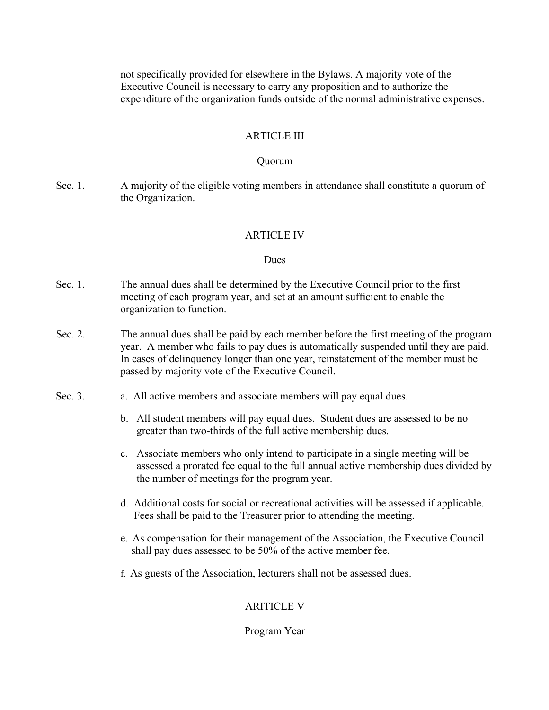not specifically provided for elsewhere in the Bylaws. A majority vote of the Executive Council is necessary to carry any proposition and to authorize the expenditure of the organization funds outside of the normal administrative expenses.

#### ARTICLE III

#### Quorum

Sec. 1. A majority of the eligible voting members in attendance shall constitute a quorum of the Organization.

#### ARTICLE IV

#### Dues

- Sec. 1. The annual dues shall be determined by the Executive Council prior to the first meeting of each program year, and set at an amount sufficient to enable the organization to function.
- Sec. 2. The annual dues shall be paid by each member before the first meeting of the program year. A member who fails to pay dues is automatically suspended until they are paid. In cases of delinquency longer than one year, reinstatement of the member must be passed by majority vote of the Executive Council.
- Sec. 3. **a.** All active members and associate members will pay equal dues.
	- b. All student members will pay equal dues. Student dues are assessed to be no greater than two-thirds of the full active membership dues.
	- c. Associate members who only intend to participate in a single meeting will be assessed a prorated fee equal to the full annual active membership dues divided by the number of meetings for the program year.
	- d. Additional costs for social or recreational activities will be assessed if applicable. Fees shall be paid to the Treasurer prior to attending the meeting.
	- e. As compensation for their management of the Association, the Executive Council shall pay dues assessed to be 50% of the active member fee.
	- f. As guests of the Association, lecturers shall not be assessed dues.

# ARITICLE V

#### Program Year